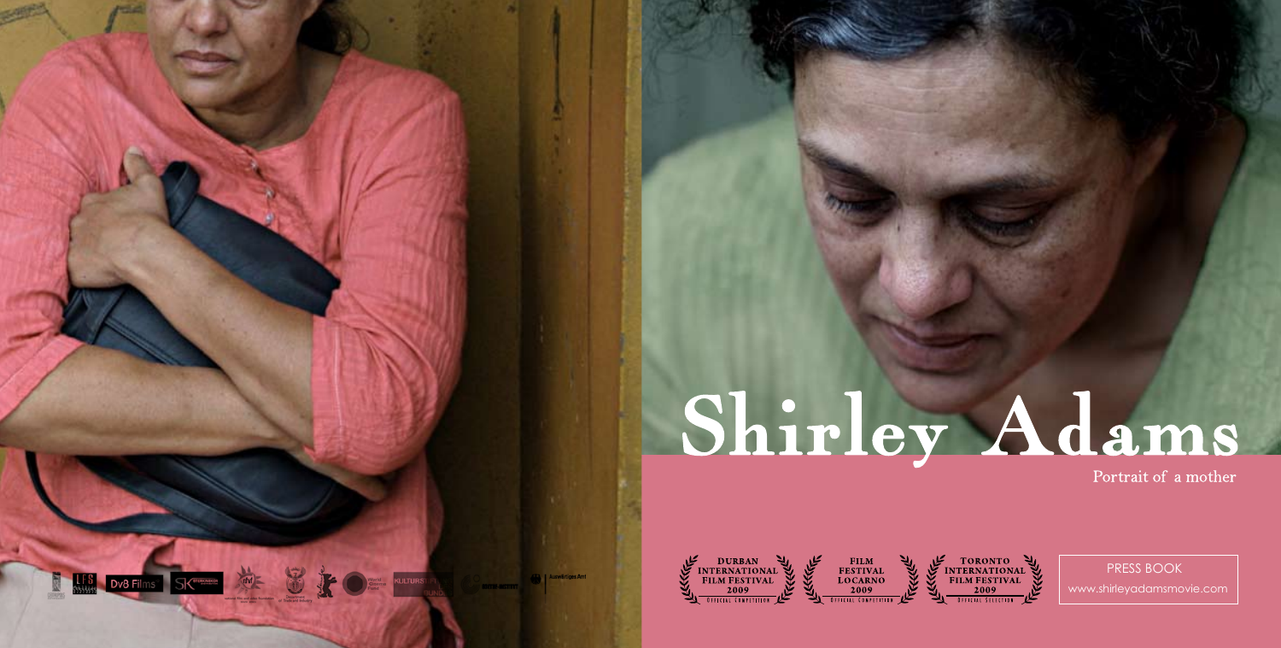# Shirley Adams

Portrait of a mother



www.shirleyadamsmovie.com PRESS BOOK

**KULTURSTIET DE STATE** 

**LES** Dv8 Films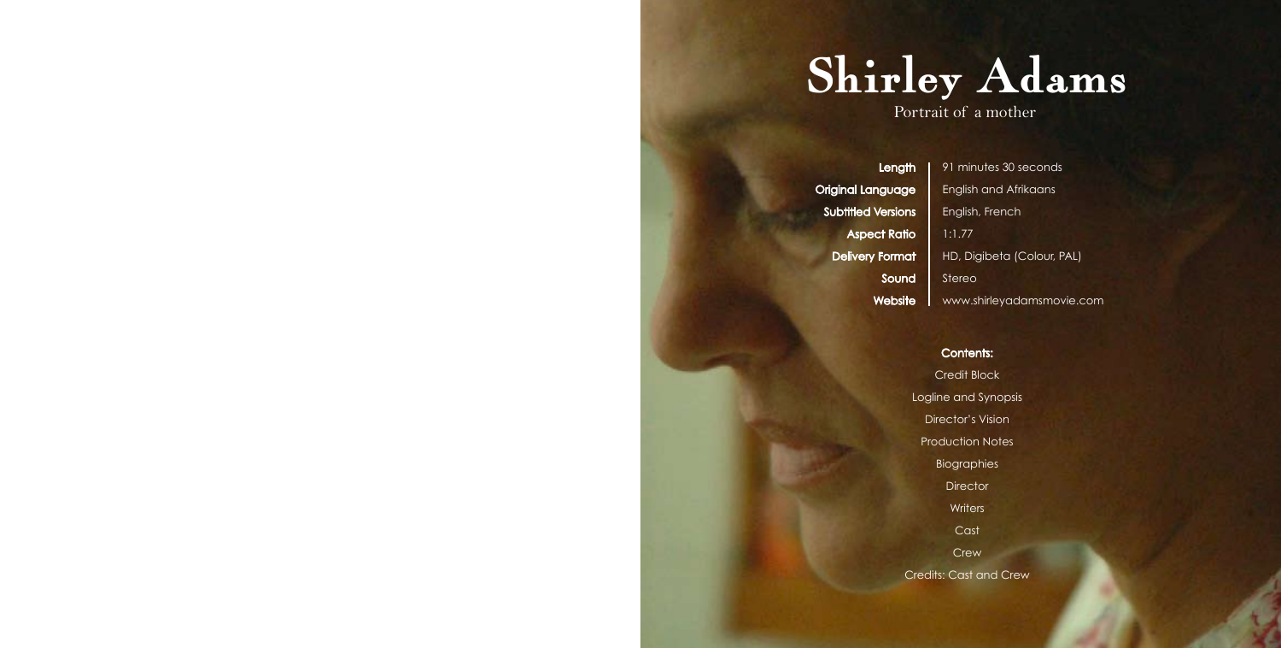

Portrait of a mother

Length Original Language Subtitled Versions Aspect Ratio Delivery Format Sound Website

91 minutes 30 seconds English and Afrikaans English, French 1:1.77 HD, Digibeta (Colour, PAL) Stereo www.shirleyadamsmovie.com

## Contents:

Credit Block Logline and Synopsis Director's Vision Production Notes Biographies **Director Writers Cast** Crew Credits: Cast and Crew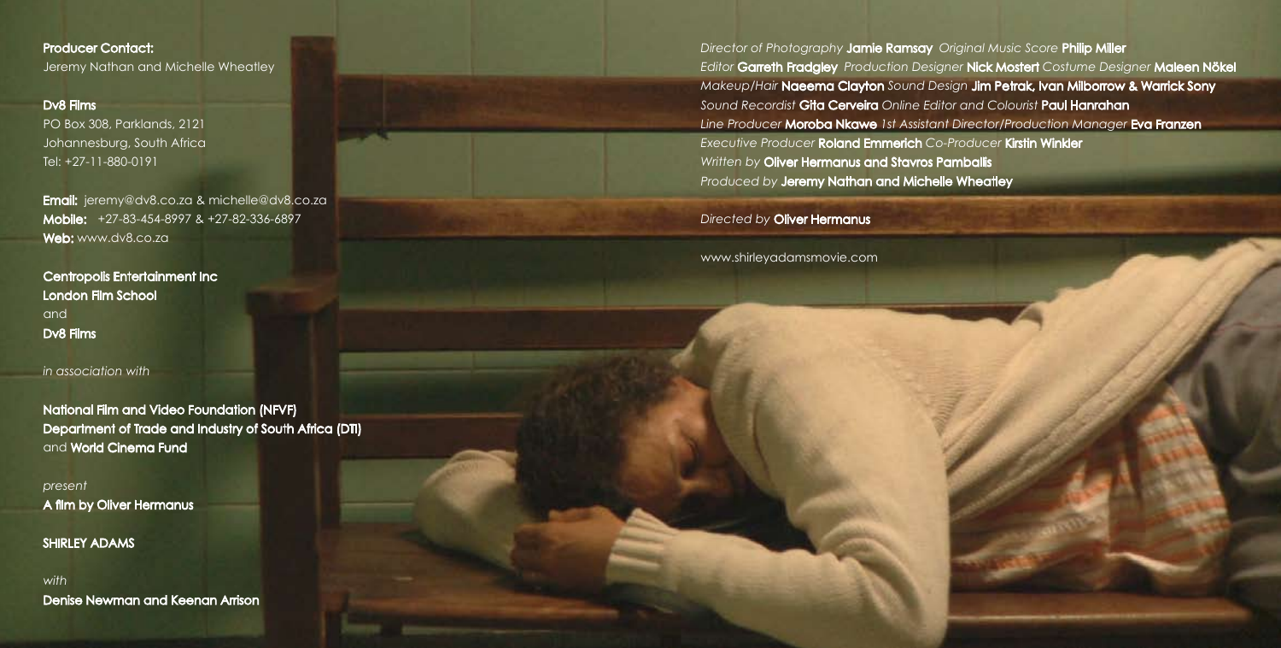# Producer Contact:

Jeremy Nathan and Michelle Wheatley

#### Dv8 Films

PO Box 308, Parklands, 2121 Johannesburg, South Africa Tel: +27-11-880-0191

**Email:** jeremy@dv8.co.za & michelle@dv8.co.za Mobile: +27-83-454-8997 & +27-82-336-6897 Web: www.dv8.co.za

Centropolis Entertainment Inc London Film School and Dv8 Films

# *in association with*

National Film and Video Foundation (NFVF) Department of Trade and Industry of South Africa (DTI) and World Cinema Fund

*present* A film by Oliver Hermanus

SHIRLEY ADAMS

*with*  Denise Newman and Keenan Arrison *Director of Photography* Jamie Ramsay *Original Music Score* Philip Miller *Editor* Garreth Fradgley *Production Designer* Nick Mostert *Costume Designer* Maleen Nökel *Makeup/Hair* Naeema Clayton *Sound Design* Jim Petrak, Ivan Milborrow & Warrick Sony *Sound Recordist* Gita Cerveira *Online Editor and Colourist* Paul Hanrahan *Line Producer* Moroba Nkawe *1st Assistant Director/Production Manager* Eva Franzen *Executive Producer* Roland Emmerich *Co-Producer* Kirstin Winkler *Written by* Oliver Hermanus and Stavros Pamballis *Produced by* Jeremy Nathan and Michelle Wheatley

*Directed by* Oliver Hermanus

www.shirleyadamsmovie.com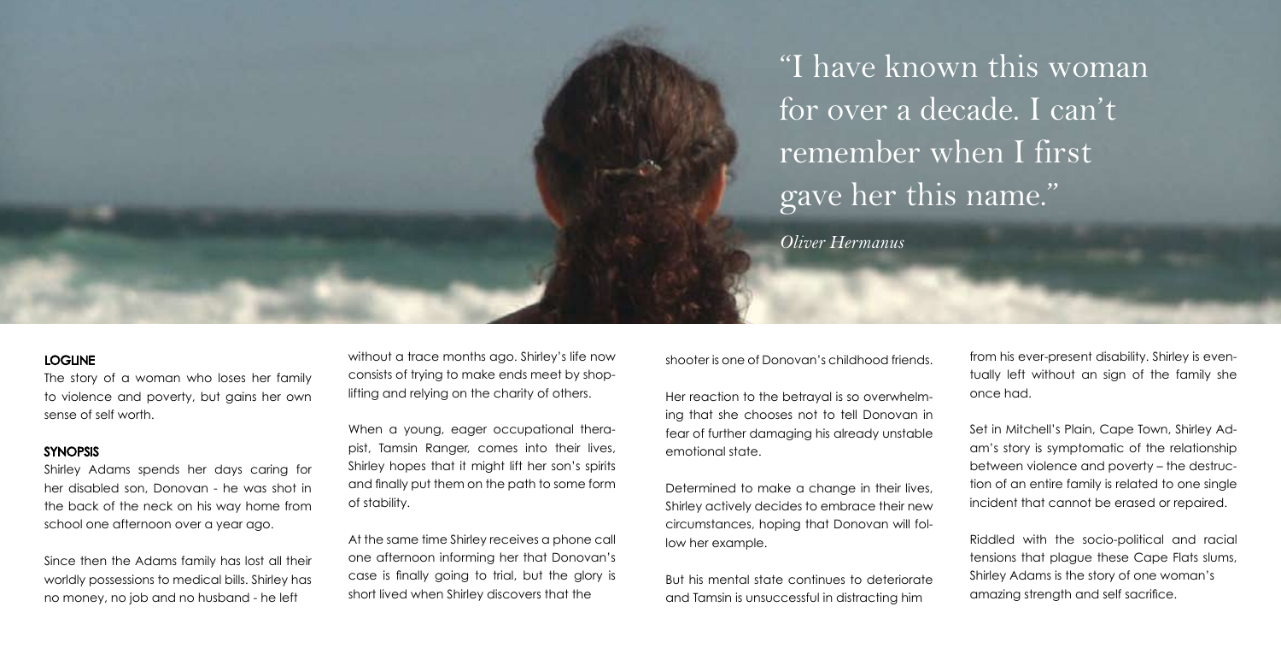"I have known this woman for over a decade. I can't remember when I first gave her this name."

*Oliver Hermanus*

### LOGLINE

The story of a woman who loses her family to violence and poverty, but gains her own sense of self worth.

#### SYNOPSIS

Shirley Adams spends her days caring for her disabled son, Donovan - he was shot in the back of the neck on his way home from school one afternoon over a year ago.

Since then the Adams family has lost all their worldly possessions to medical bills. Shirley has no money, no job and no husband - he left

without a trace months ago. Shirley's life now consists of trying to make ends meet by shoplifting and relying on the charity of others.

When a young, eager occupational therapist, Tamsin Ranger, comes into their lives, Shirley hopes that it might lift her son's spirits and finally put them on the path to some form of stability.

At the same time Shirley receives a phone call one afternoon informing her that Donovan's case is finally going to trial, but the glory is short lived when Shirley discovers that the

shooter is one of Donovan's childhood friends.

Her reaction to the betrayal is so overwhelming that she chooses not to tell Donovan in fear of further damaging his already unstable emotional state.

Determined to make a change in their lives, Shirley actively decides to embrace their new circumstances, hoping that Donovan will follow her example.

But his mental state continues to deteriorate and Tamsin is unsuccessful in distracting him

from his ever-present disability. Shirley is eventually left without an sign of the family she once had.

Set in Mitchell's Plain, Cape Town, Shirley Adam's story is symptomatic of the relationship between violence and poverty – the destruction of an entire family is related to one single incident that cannot be erased or repaired.

Riddled with the socio-political and racial tensions that plague these Cape Flats slums, Shirley Adams is the story of one woman's amazing strength and self sacrifice.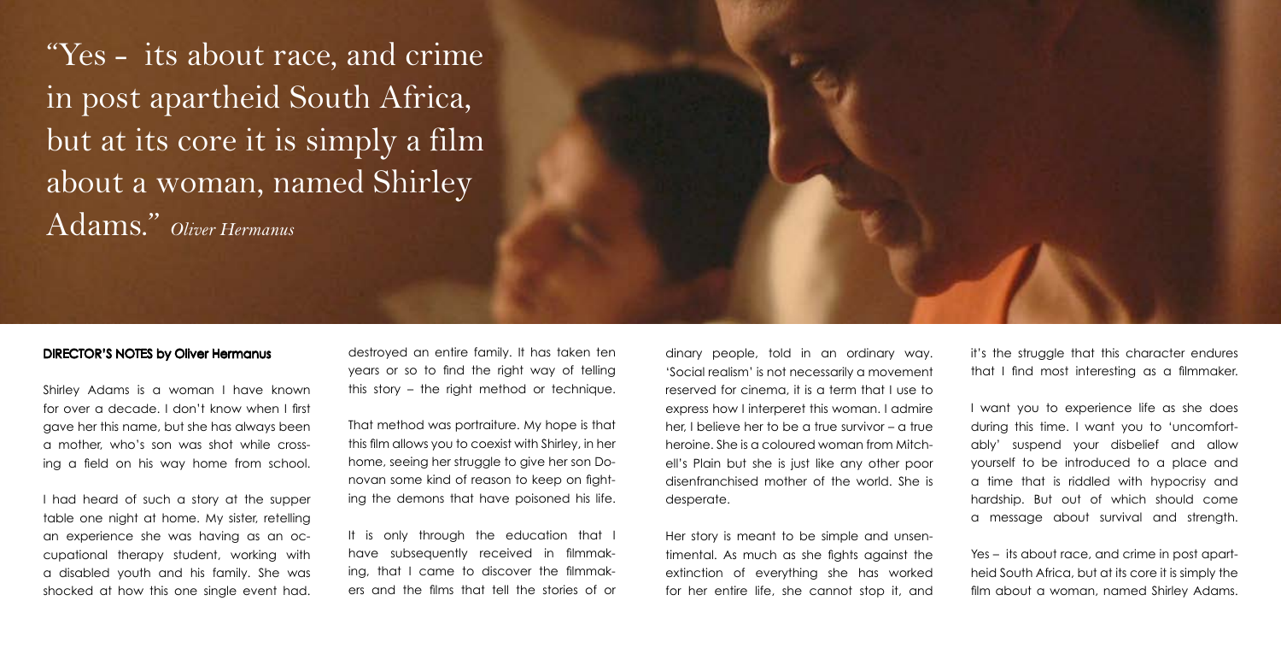"Yes - its about race, and crime in post apartheid South Africa, but at its core it is simply a film about a woman, named Shirley Adams." *Oliver Hermanus*

# DIRECTOR'S NOTES by Oliver Hermanus

Shirley Adams is a woman I have known for over a decade. I don't know when I first gave her this name, but she has always been a mother, who's son was shot while crossing a field on his way home from school.

I had heard of such a story at the supper table one night at home. My sister, retelling an experience she was having as an occupational therapy student, working with a disabled youth and his family. She was shocked at how this one single event had.

destroyed an entire family. It has taken ten years or so to find the right way of telling this story – the right method or technique.

That method was portraiture. My hope is that this film allows you to coexist with Shirley, in her home, seeing her struggle to give her son Donovan some kind of reason to keep on fighting the demons that have poisoned his life.

It is only through the education that I have subsequently received in filmmaking, that I came to discover the filmmakers and the films that tell the stories of or

dinary people, told in an ordinary way. 'Social realism' is not necessarily a movement reserved for cinema, it is a term that I use to express how I interperet this woman. I admire her, I believe her to be a true survivor – a true heroine. She is a coloured woman from Mitchell's Plain but she is just like any other poor disenfranchised mother of the world. She is desperate.

Her story is meant to be simple and unsentimental. As much as she fights against the extinction of everything she has worked for her entire life, she cannot stop it, and it's the struggle that this character endures that I find most interesting as a filmmaker.

I want you to experience life as she does during this time. I want you to 'uncomfortably' suspend your disbelief and allow yourself to be introduced to a place and a time that is riddled with hypocrisy and hardship. But out of which should come a message about survival and strength.

Yes – its about race, and crime in post apartheid South Africa, but at its core it is simply the film about a woman, named Shirley Adams.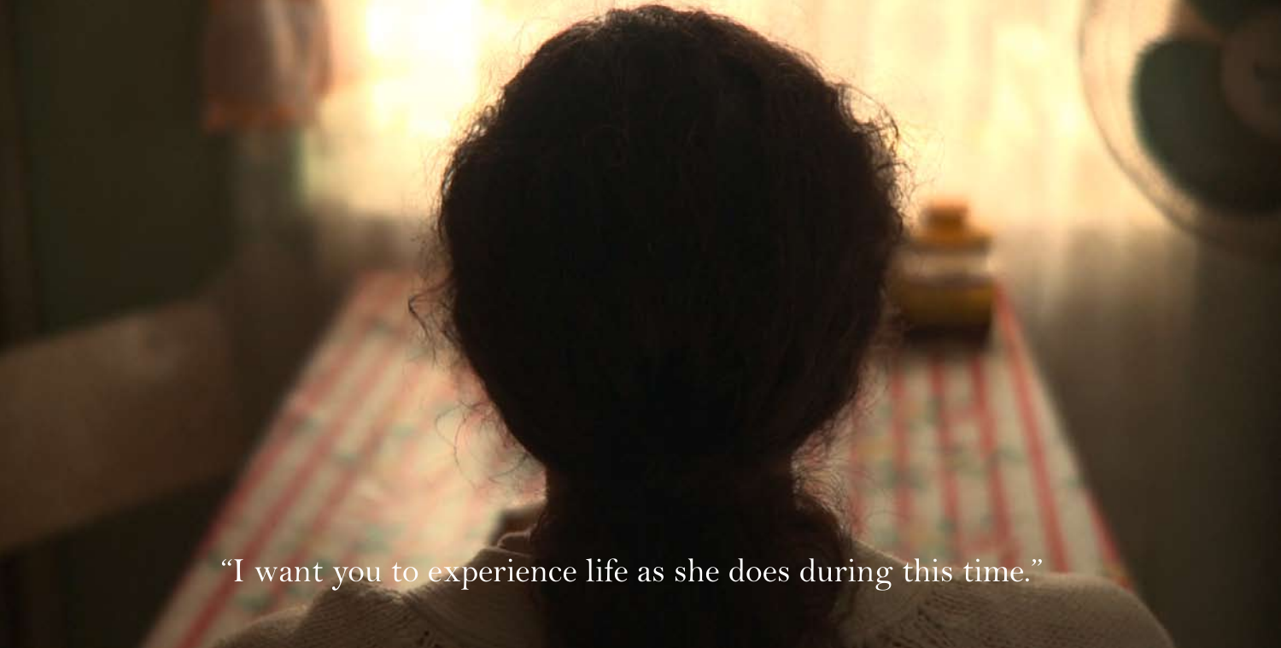"I want you to experience life as she does during this time."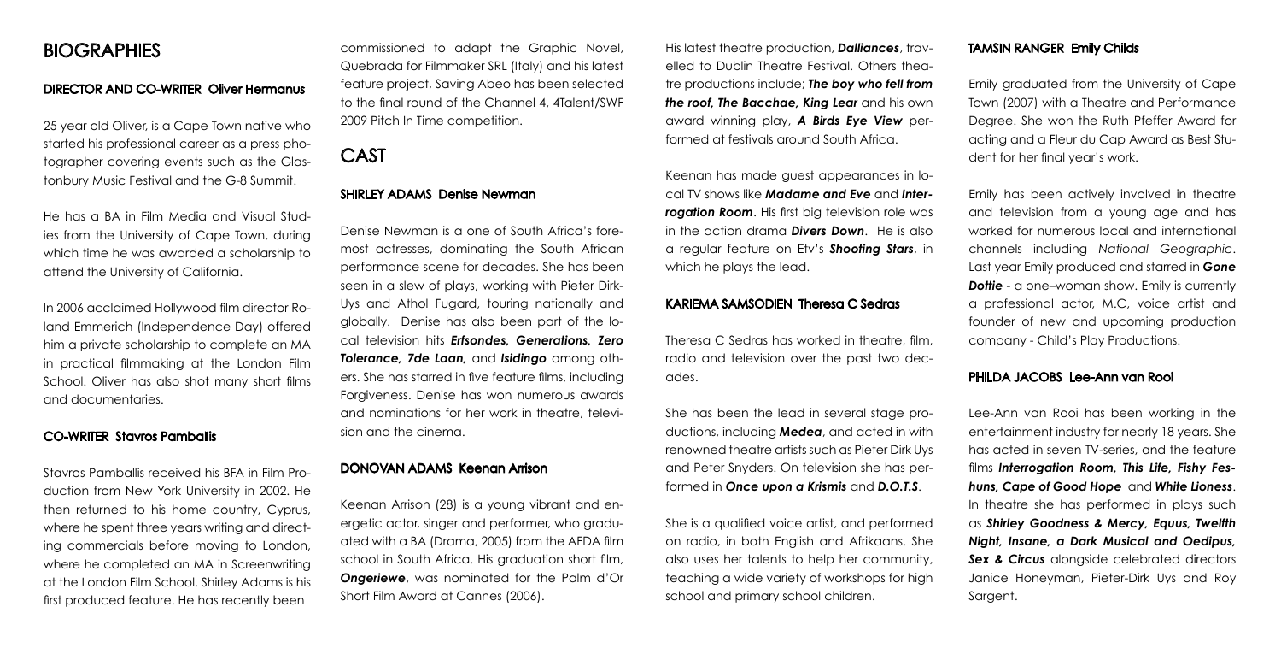# **BIOGRAPHIES**

# DIRECTOR AND CO-WRITER Oliver Hermanus

25 year old Oliver, is a Cape Town native who started his professional career as a press photographer covering events such as the Glastonbury Music Festival and the G-8 Summit.

He has a BA in Film Media and Visual Studies from the University of Cape Town, during which time he was awarded a scholarship to attend the University of California.

In 2006 acclaimed Hollywood film director Roland Emmerich (Independence Day) offered him a private scholarship to complete an MA in practical filmmaking at the London Film School. Oliver has also shot many short films and documentaries.

### CO-WRITER Stavros Pamballis

Stavros Pamballis received his BFA in Film Production from New York University in 2002. He then returned to his home country, Cyprus, where he spent three years writing and directing commercials before moving to London, where he completed an MA in Screenwriting at the London Film School. Shirley Adams is his first produced feature. He has recently been

commissioned to adapt the Graphic Novel, Quebrada for Filmmaker SRL (Italy) and his latest feature project, Saving Abeo has been selected to the final round of the Channel 4, 4Talent/SWF 2009 Pitch In Time competition.

# CAST

# SHIRLEY ADAMS Denise Newman

Denise Newman is a one of South Africa's foremost actresses, dominating the South African performance scene for decades. She has been seen in a slew of plays, working with Pieter Dirk-Uys and Athol Fugard, touring nationally and globally. Denise has also been part of the local television hits *Erfsondes, Generations, Zero Tolerance, 7de Laan,* and *Isidingo* among others. She has starred in five feature films, including Forgiveness. Denise has won numerous awards and nominations for her work in theatre, television and the cinema.

# DONOVAN ADAMS Keenan Arrison

Keenan Arrison (28) is a young vibrant and energetic actor, singer and performer, who graduated with a BA (Drama, 2005) from the AFDA film school in South Africa. His graduation short film, *Ongeriewe*, was nominated for the Palm d'Or Short Film Award at Cannes (2006).

His latest theatre production, *Dalliances*, travelled to Dublin Theatre Festival. Others theatre productions include; *The boy who fell from the roof, The Bacchae, King Lear* and his own award winning play, *A Birds Eye View* performed at festivals around South Africa.

Keenan has made guest appearances in local TV shows like *Madame and Eve* and *Inter***rogation Room**. His first big television role was in the action drama *Divers Down*. He is also a regular feature on Etv's *Shooting Stars*, in which he plays the lead.

#### KARIEMA SAMSODIEN Theresa C Sedras

Theresa C Sedras has worked in theatre, film, radio and television over the past two decades.

She has been the lead in several stage productions, including *Medea*, and acted in with renowned theatre artists such as Pieter Dirk Uys and Peter Snyders. On television she has performed in *Once upon a Krismis* and *D.O.T.S*.

She is a qualified voice artist, and performed on radio, in both English and Afrikaans. She also uses her talents to help her community, teaching a wide variety of workshops for high school and primary school children.

# TAMSIN RANGER Emily Childs

Emily graduated from the University of Cape Town (2007) with a Theatre and Performance Degree. She won the Ruth Pfeffer Award for acting and a Fleur du Cap Award as Best Student for her final year's work.

Emily has been actively involved in theatre and television from a young age and has worked for numerous local and international channels including *National Geographic*. Last year Emily produced and starred in *Gone*  **Dottie** - a one–woman show. Emily is currently a professional actor, M.C, voice artist and founder of new and upcoming production company - Child's Play Productions.

# PHILDA JACOBS Lee-Ann van Rooi

Lee-Ann van Rooi has been working in the entertainment industry for nearly 18 years. She has acted in seven TV-series, and the feature films *Interrogation Room, This Life, Fishy Feshuns, Cape of Good Hope* and *White Lioness*. In theatre she has performed in plays such as *Shirley Goodness & Mercy, Equus, Twelfth Night, Insane, a Dark Musical and Oedipus,*  **Sex & Circus** alonaside celebrated directors Janice Honeyman, Pieter-Dirk Uys and Roy Sargent.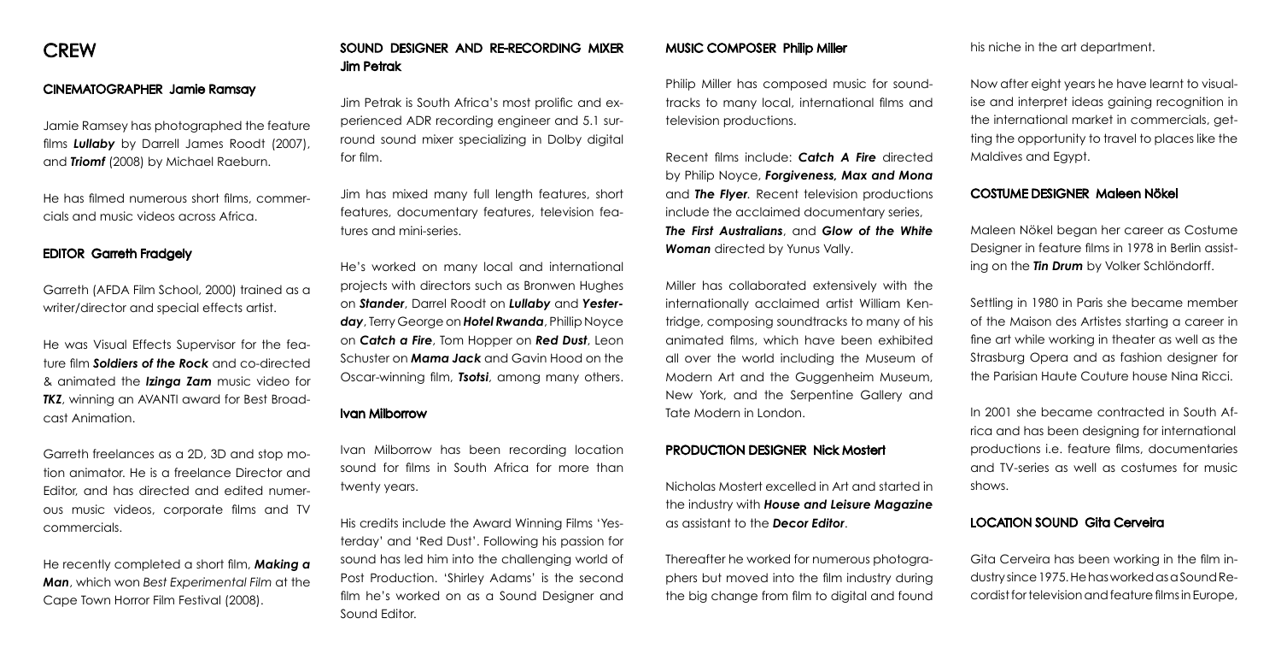# CINEMATOGRAPHER Jamie Ramsay

Jamie Ramsey has photographed the feature films *Lullaby* by Darrell James Roodt (2007), and *Triomf* (2008) by Michael Raeburn.

He has filmed numerous short films, commercials and music videos across Africa.

# EDITOR Garreth Fradgely

Garreth (AFDA Film School, 2000) trained as a writer/director and special effects artist.

He was Visual Effects Supervisor for the feature film *Soldiers of the Rock* and co-directed & animated the *Izinga Zam* music video for **TKZ**, winning an AVANTI award for Best Broadcast Animation.

Garreth freelances as a 2D, 3D and stop motion animator. He is a freelance Director and Editor, and has directed and edited numerous music videos, corporate films and TV commercials.

He recently completed a short film, *Making a Man*, which won *Best Experimental Film* at the Cape Town Horror Film Festival (2008).

# SOUND DESIGNER AND RE-RECORDING MIXER Jim Petrak

Jim Petrak is South Africa's most prolific and experienced ADR recording engineer and 5.1 surround sound mixer specializing in Dolby digital for film.

Jim has mixed many full length features, short features, documentary features, television features and mini-series.

He's worked on many local and international projects with directors such as Bronwen Hughes on *Stander*, Darrel Roodt on *Lullaby* and *Yesterday*, Terry George on *Hotel Rwanda*, Phillip Noyce on *Catch a Fire*, Tom Hopper on *Red Dust*, Leon Schuster on *Mama Jack* and Gavin Hood on the Oscar-winning film, *Tsotsi*, among many others.

#### Ivan Milborrow

Ivan Milborrow has been recording location sound for films in South Africa for more than twenty years.

His credits include the Award Winning Films 'Yesterday' and 'Red Dust'. Following his passion for sound has led him into the challenging world of Post Production. 'Shirley Adams' is the second film he's worked on as a Sound Designer and Sound Editor.

#### MUSIC COMPOSER Philip Miller

Philip Miller has composed music for soundtracks to many local, international films and television productions.

Recent films include: *Catch A Fire* directed by Philip Noyce, *Forgiveness, Max and Mona*  and *The Flyer.* Recent television productions include the acclaimed documentary series, *The First Australians*, and *Glow of the White Woman* directed by Yunus Vally.

Miller has collaborated extensively with the internationally acclaimed artist William Kentridge, composing soundtracks to many of his animated films, which have been exhibited all over the world including the Museum of Modern Art and the Guggenheim Museum, New York, and the Serpentine Gallery and Tate Modern in London.

#### PRODUCTION DESIGNER Nick Mostert

Nicholas Mostert excelled in Art and started in the industry with *House and Leisure Magazine* as assistant to the *Decor Editor*.

Thereafter he worked for numerous photographers but moved into the film industry during the big change from film to digital and found his niche in the art department.

Now after eight years he have learnt to visualise and interpret ideas gaining recognition in the international market in commercials, getting the opportunity to travel to places like the Maldives and Egypt.

# COSTUME DESIGNER Maleen Nökel

Maleen Nökel began her career as Costume Designer in feature films in 1978 in Berlin assisting on the *Tin Drum* by Volker Schlöndorff.

Settling in 1980 in Paris she became member of the Maison des Artistes starting a career in fine art while working in theater as well as the Strasburg Opera and as fashion designer for the Parisian Haute Couture house Nina Ricci.

In 2001 she became contracted in South Africa and has been designing for international productions i.e. feature films, documentaries and TV-series as well as costumes for music shows.

# LOCATION SOUND Gita Cerveira

Gita Cerveira has been working in the film industry since 1975. He has worked as a Sound Recordist for television and feature films in Europe,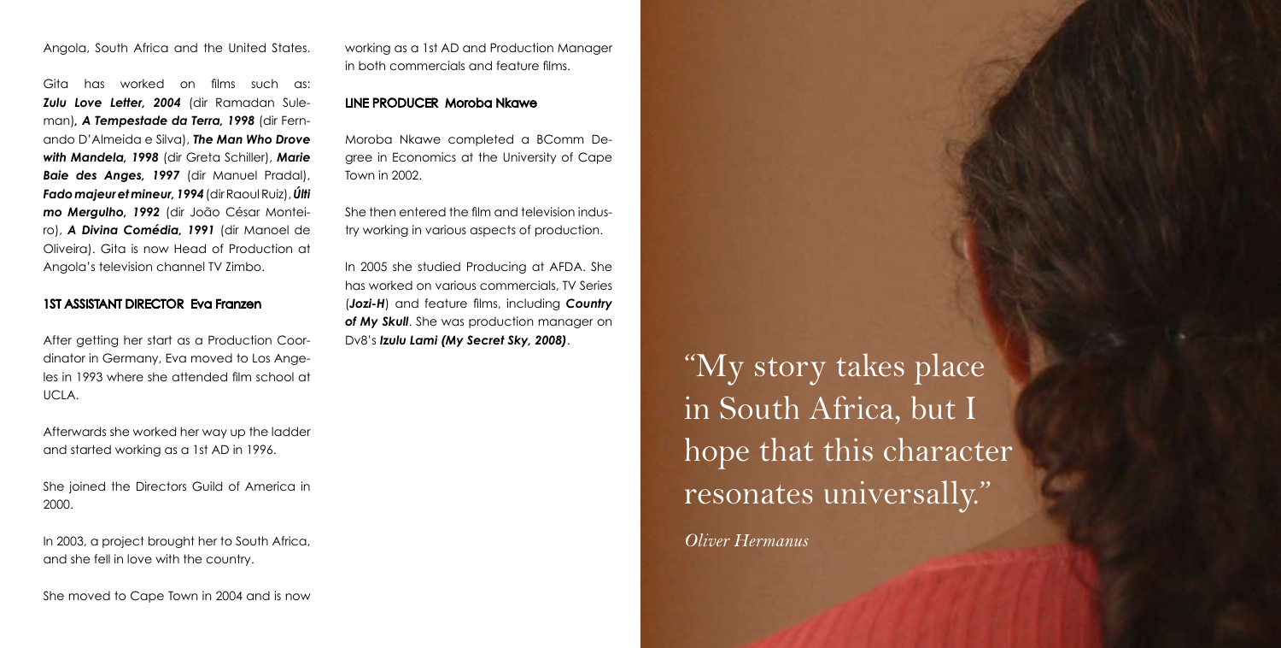Angola, South Africa and the United States.

Gita has worked on films such as: *Zulu Love Letter, 2004* (dir Ramadan Suleman)*, A Tempestade da Terra, 1998* (dir Fernando D'Almeida e Silva), *The Man Who Drove with Mandela, 1998* (dir Greta Schiller), *Marie Baie des Anges, 1997* (dir Manuel Pradal), *Fado majeur et mineur, 1994* (dir Raoul Ruiz), *Últi mo Mergulho, 1992* (dir João César Monteiro), *A Divina Comédia, 1991* (dir Manoel de Oliveira). Gita is now Head of Production at Angola's television channel TV Zimbo.

## 1ST ASSISTANT DIRECTOR Eva Franzen

After getting her start as a Production Coordinator in Germany, Eva moved to Los Angeles in 1993 where she attended film school at UCLA.

Afterwards she worked her way up the ladder and started working as a 1st AD in 1996.

She joined the Directors Guild of America in 2000.

In 2003, a project brought her to South Africa, and she fell in love with the country.

She moved to Cape Town in 2004 and is now

working as a 1st AD and Production Manager in both commercials and feature films.

# LINE PRODUCER Moroba Nkawe

Moroba Nkawe completed a BComm Degree in Economics at the University of Cape Town in 2002.

She then entered the film and television industry working in various aspects of production.

In 2005 she studied Producing at AFDA. She has worked on various commercials, TV Series (*Jozi-H*) and feature films, including *Country of My Skull*. She was production manager on Dv8's *Izulu Lami (My Secret Sky, 2008)*.

"My story takes place in South Africa, but I hope that this character resonates universally."

*Oliver Hermanus*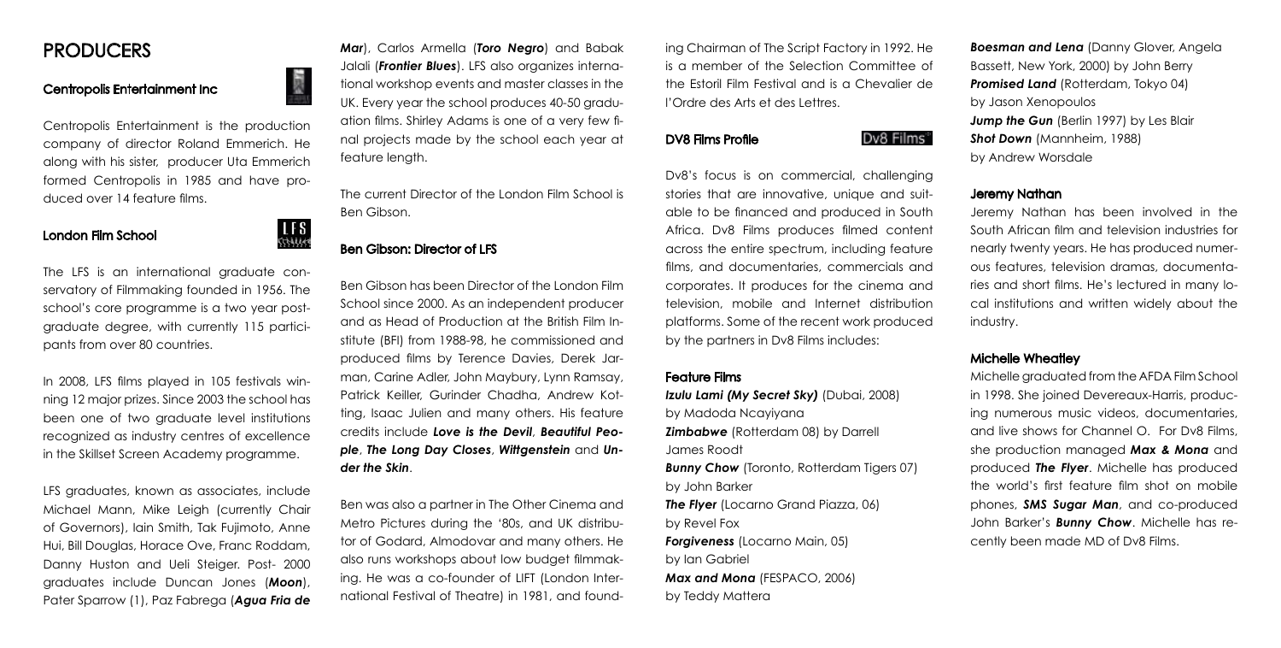# PRODUCERS

# Centropolis Entertainment Inc

Centropolis Entertainment is the production company of director Roland Emmerich. He along with his sister, producer Uta Emmerich formed Centropolis in 1985 and have produced over 14 feature films.

> $LFS$  $5733333$

# London Film School

The LFS is an international graduate conservatory of Filmmaking founded in 1956. The school's core programme is a two year postgraduate degree, with currently 115 participants from over 80 countries.

In 2008, LFS films played in 105 festivals winning 12 major prizes. Since 2003 the school has been one of two graduate level institutions recognized as industry centres of excellence in the Skillset Screen Academy programme.

LFS graduates, known as associates, include Michael Mann, Mike Leigh (currently Chair of Governors), Iain Smith, Tak Fujimoto, Anne Hui, Bill Douglas, Horace Ove, Franc Roddam, Danny Huston and Ueli Steiger. Post- 2000 graduates include Duncan Jones (*Moon*), Pater Sparrow (1), Paz Fabrega (*Agua Fria de* 

*Mar*), Carlos Armella (*Toro Negro*) and Babak Jalali (*Frontier Blues*). LFS also organizes international workshop events and master classes in the UK. Every year the school produces 40-50 graduation films. Shirley Adams is one of a very few final projects made by the school each year at feature length.

The current Director of the London Film School is Ben Gibson.

## Ben Gibson: Director of LFS

Ben Gibson has been Director of the London Film School since 2000. As an independent producer and as Head of Production at the British Film Institute (BFI) from 1988-98, he commissioned and produced films by Terence Davies, Derek Jarman, Carine Adler, John Maybury, Lynn Ramsay, Patrick Keiller, Gurinder Chadha, Andrew Kotting, Isaac Julien and many others. His feature credits include *Love is the Devil*, *Beautiful People*, *The Long Day Closes*, *Wittgenstein* and *Under the Skin*.

Ben was also a partner in The Other Cinema and Metro Pictures during the '80s, and UK distributor of Godard, Almodovar and many others. He also runs workshops about low budget filmmaking. He was a co-founder of LIFT (London International Festival of Theatre) in 1981, and found-

ing Chairman of The Script Factory in 1992. He is a member of the Selection Committee of the Estoril Film Festival and is a Chevalier de l'Ordre des Arts et des Lettres.

#### DV8 Films Profile

#### Dv8 Films®

Dv8's focus is on commercial, challenging stories that are innovative, unique and suitable to be financed and produced in South Africa. Dv8 Films produces filmed content across the entire spectrum, including feature films, and documentaries, commercials and corporates. It produces for the cinema and television, mobile and Internet distribution platforms. Some of the recent work produced by the partners in Dv8 Films includes:

#### Feature Films

*Izulu Lami (My Secret Sky)* (Dubai, 2008) by Madoda Ncayiyana *Zimbabwe* (Rotterdam 08) by Darrell James Roodt

**Bunny Chow** (Toronto, Rotterdam Tigers 07) by John Barker

**The Flyer** (Locarno Grand Piazza, 06) by Revel Fox

*Forgiveness* (Locarno Main, 05) by Ian Gabriel *Max and Mona* (FESPACO, 2006)

by Teddy Mattera

**Boesman and Lena** (Danny Glover, Angela Bassett, New York, 2000) by John Berry **Promised Land** (Rotterdam, Tokyo 04) by Jason Xenopoulos **Jump the Gun** (Berlin 1997) by Les Blair *Shot Down* (Mannheim, 1988) by Andrew Worsdale

#### Jeremy Nathan

Jeremy Nathan has been involved in the South African film and television industries for nearly twenty years. He has produced numerous features, television dramas, documentaries and short films. He's lectured in many local institutions and written widely about the industry.

#### Michelle Wheatley

Michelle graduated from the AFDA Film School in 1998. She joined Devereaux-Harris, producing numerous music videos, documentaries, and live shows for Channel O. For Dv8 Films, she production managed *Max & Mona* and produced *The Flyer*. Michelle has produced the world's first feature film shot on mobile phones, *SMS Sugar Man*, and co-produced John Barker's *Bunny Chow*. Michelle has recently been made MD of Dv8 Films.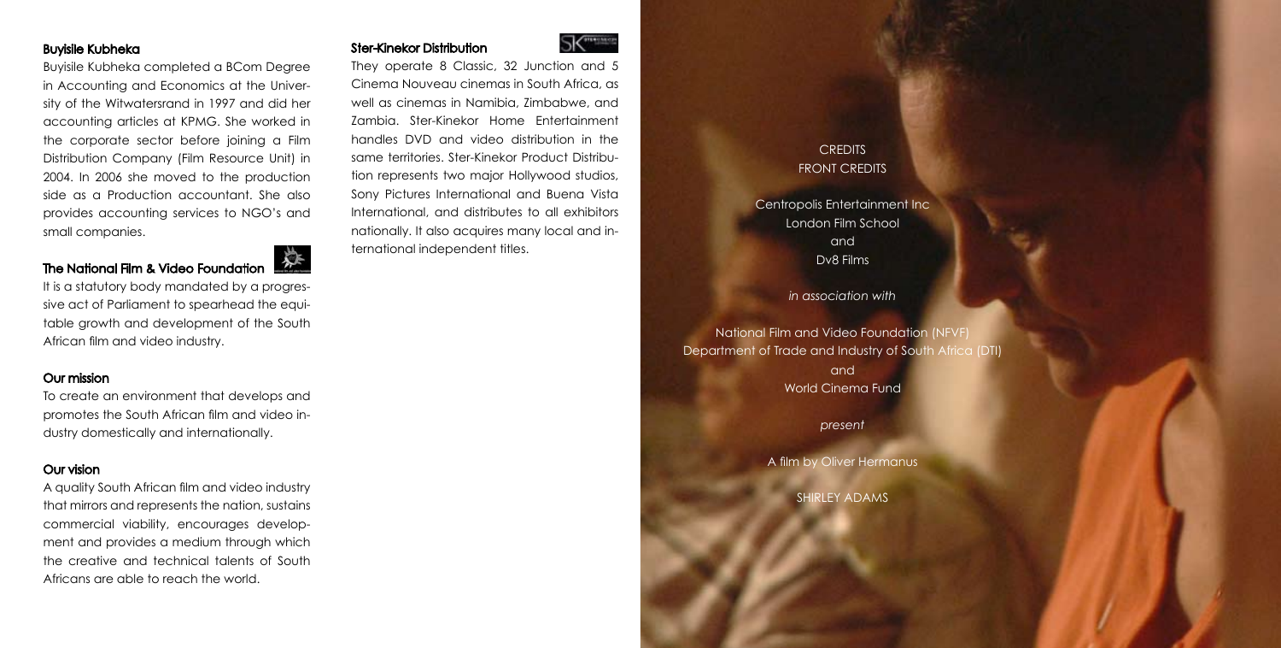# Buyisile Kubheka

Buyisile Kubheka completed a BCom Degree in Accounting and Economics at the University of the Witwatersrand in 1997 and did her accounting articles at KPMG. She worked in the corporate sector before joining a Film Distribution Company (Film Resource Unit) in 2004. In 2006 she moved to the production side as a Production accountant. She also provides accounting services to NGO's and small companies.

# The National Film & Video Foundation

It is a statutory body mandated by a progressive act of Parliament to spearhead the equitable growth and development of the South African film and video industry.

# Our mission

To create an environment that develops and promotes the South African film and video industry domestically and internationally.

# Our vision

A quality South African film and video industry that mirrors and represents the nation, sustains commercial viability, encourages development and provides a medium through which the creative and technical talents of South Africans are able to reach the world.



They operate 8 Classic, 32 Junction and 5 Cinema Nouveau cinemas in South Africa, as well as cinemas in Namibia, Zimbabwe, and Zambia. Ster-Kinekor Home Entertainment handles DVD and video distribution in the same territories. Ster-Kinekor Product Distribution represents two major Hollywood studios, Sony Pictures International and Buena Vista International, and distributes to all exhibitors nationally. It also acquires many local and international independent titles.

Ster-Kinekor Distribution

# **CREDITS** FRONT CREDITS

Centropolis Entertainment Inc London Film School and Dv8 Films

*in association with*

National Film and Video Foundation (NFVF) Department of Trade and Industry of South Africa (DTI) and World Cinema Fund

*present*

A film by Oliver Hermanus

SHIRLEY ADAMS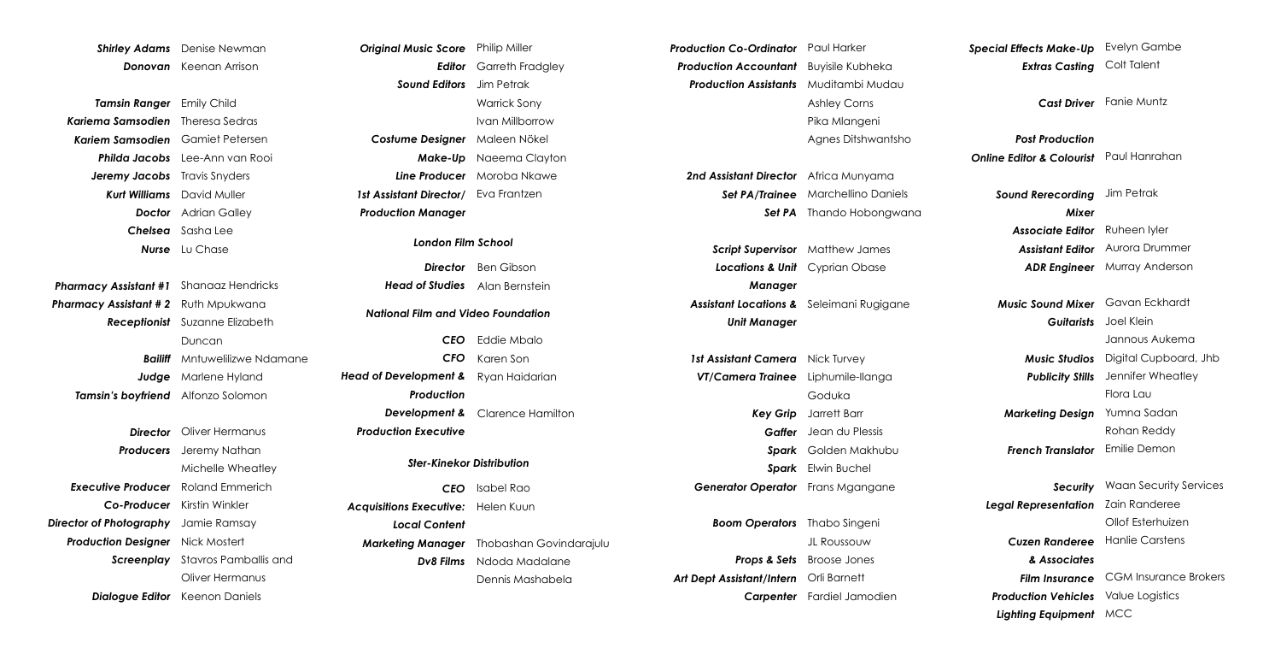*Shirley Adams* Denise Newman *Donovan* Keenan Arrison

*Tamsin Ranger* Emily Child *Kariema Samsodien* Theresa Sedras *Kariem Samsodien* Gamiet Petersen *Philda Jacobs* Lee-Ann van Rooi *Jeremy Jacobs* Travis Snyders *Kurt Williams* David Muller *Doctor* Adrian Galley *Chelsea* Sasha Lee *Nurse* Lu Chase

*Pharmacy Assistant #1* Shanaaz Hendricks *Pharmacy Assistant # 2* Ruth Mpukwana *Receptionist* Suzanne Elizabeth *Bailiff* Mntuwelilizwe Ndamane *Judge* Marlene Hyland *Tamsin's boyfriend* Alfonzo Solomon Duncan

*Director* Oliver Hermanus *Producers* Jeremy Nathan *Executive Producer* Roland Emmerich *Co-Producer* Kirstin Winkler *Director of Photography* Jamie Ramsay *Production Designer* Nick Mostert *Screenplay* Stavros Pamballis and *Dialogue Editor* Keenon Daniels Michelle Wheatley Oliver Hermanus

*Original Music Score* Philip Miller *Editor* Garreth Fradgley *Sound Editors* Jim Petrak *Costume Designer* Maleen Nökel *Make-Up* Naeema Clayton *Line Producer* Moroba Nkawe *1st Assistant Director/* Eva Frantzen *Production Manager* Warrick Sony Ivan Millborrow *London Film School CEO* Isabel Rao *Acquisitions Executive:*  Helen Kuun *Local Content Marketing Manager* Thobashan Govindarajulu *Dv8 Films* Ndoda Madalane *CEO* Eddie Mbalo *CFO* Karen Son *Head of Development &*  Ryan Haidarian *Production Development &*  Clarence Hamilton *Production Executive Director* Ben Gibson *Head of Studies* Alan Bernstein Dennis Mashabela *Ster-Kinekor Distribution National Film and Video Foundation* 

*Production Co-Ordinator* Paul Harker *Production Accountant* Buyisile Kubheka *Production Assistants* Muditambi Mudau Ashley Corns Pika Mlangeni Agnes Ditshwantsho

*2nd Assistant Director* Africa Munyama *Set PA/Trainee* Marchellino Daniels *Set PA* Thando Hobongwana

*Script Supervisor* Matthew James *Locations & Unit*  Cyprian Obase *Manager Assistant Locations &*  Seleimani Rugigane *Unit Manager*

1st Assistant Camera Nick Turvey *VT/Camera Trainee* Liphumile-Ilanga *Key Grip* Jarrett Barr *Gaffer* Jean du Plessis *Spark*  Golden Makhubu *Spark* Elwin Buchel *Generator Operator* Frans Mgangane Goduka

*Boom Operators* Thabo Singeni *Props & Sets* Broose Jones *Art Dept Assistant/Intern* Orli Barnett *Carpenter* Fardiel Jamodien JL Roussouw

*Special Effects Make-Up* Evelyn Gambe *Extras Casting* Colt Talent

*Cast Driver* Fanie Muntz

*Post Production Online Editor & Colourist* Paul Hanrahan

> *Sound Rerecording*  Jim Petrak *Mixer Associate Editor Assistant Editor ADR Engineer* Murray Anderson Ruheen Iyler Aurora Drummer

*Music Sound Mixer* Gavan Eckhardt *Guitarists* Joel Klein *Music Studios* Digital Cupboard, Jhb *Publicity Stills Marketing Design* Yumna Sadan *French Translator* Emilie Demon Jannous Aukema Jennifer Wheatley Flora Lau Rohan Reddy

*Security* Waan Security Services *Legal Representation* Zain Randeree *Cuzen Randeree*  Hanlie Carstens *& Associates Film Insurance* CGM Insurance Brokers *Production Vehicles* Value Logistics *Lighting Equipment* MCC Ollof Esterhuizen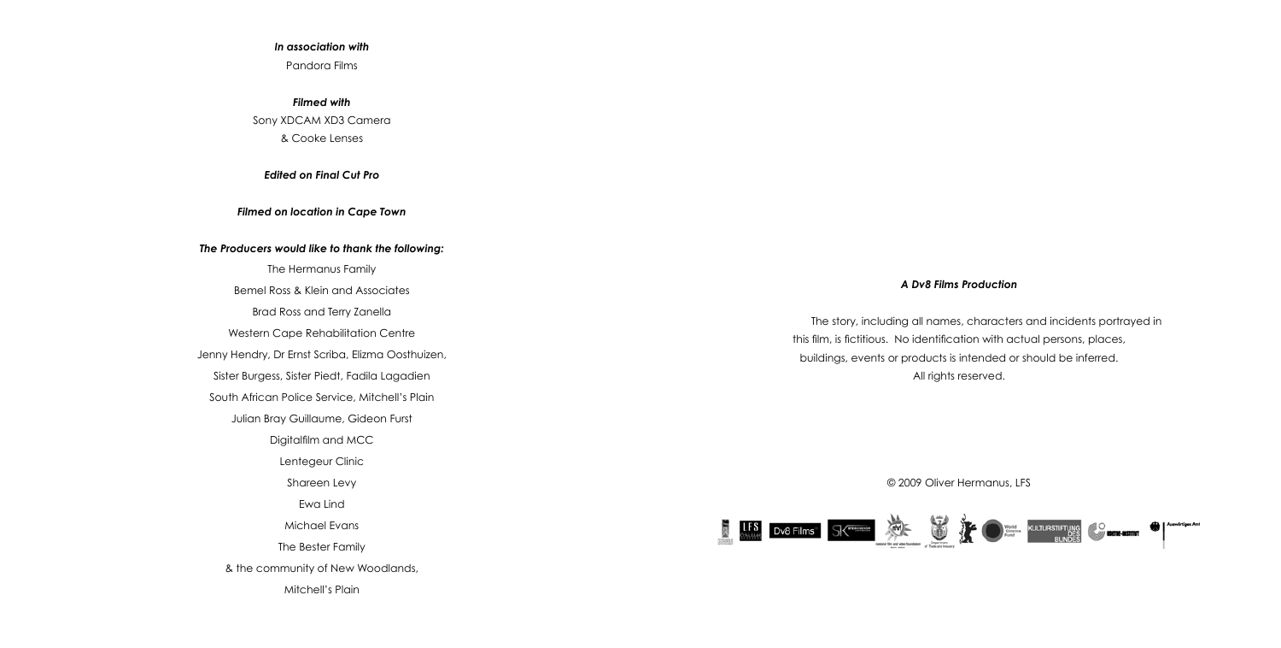#### *In association with*

Pandora Films

*Filmed with* Sony XDCAM XD3 Camera & Cooke Lenses

*Edited on Final Cut Pro*

*Filmed on location in Cape Town*

#### *The Producers would like to thank the following:*

The Hermanus Family Bemel Ross & Klein and Associates Brad Ross and Terry Zanella Western Cape Rehabilitation Centre Jenny Hendry, Dr Ernst Scriba, Elizma Oosthuizen, Sister Burgess, Sister Piedt, Fadila Lagadien South African Police Service, Mitchell's Plain Julian Bray Guillaume, Gideon Furst Digitalfilm and MCC Lentegeur Clinic Shareen Levy Ewa Lind Michael Evans The Bester Family & the community of New Woodlands, Mitchell's Plain

#### *A Dv8 Films Production*

The story, including all names, characters and incidents portrayed in this film, is fictitious. No identification with actual persons, places, buildings, events or products is intended or should be inferred. All rights reserved.

© 2009 Oliver Hermanus, LFS